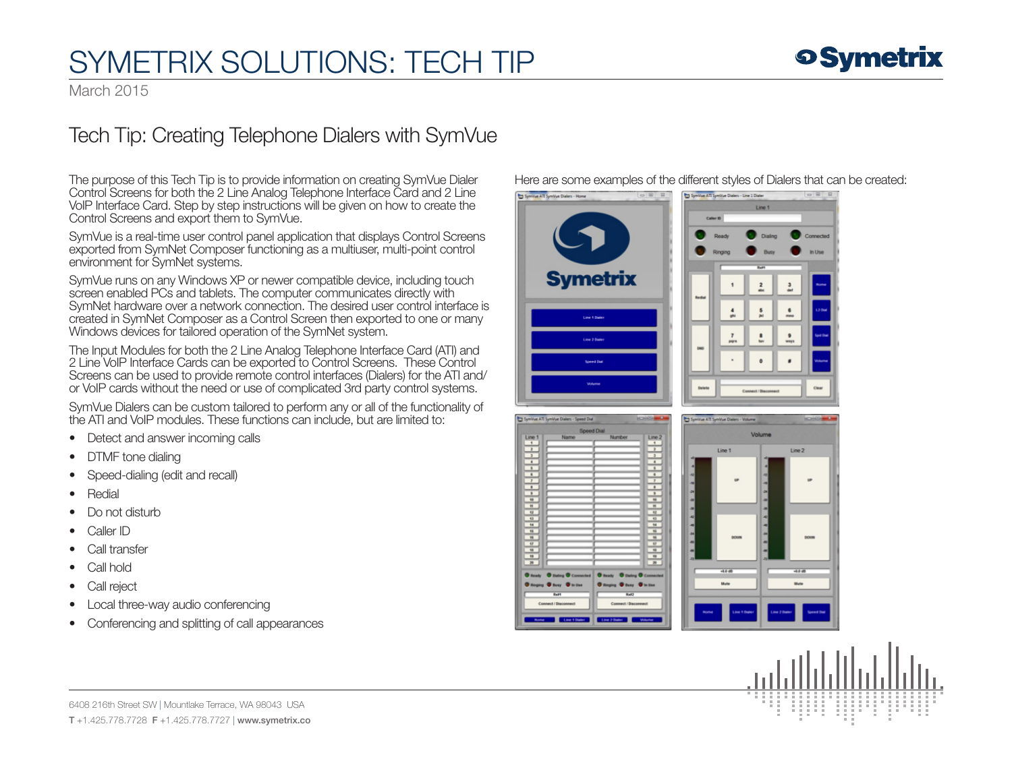## **o Symetrix**

## SYMETRIX SOLUTIONS: TECH TIP

March 2015

#### Tech Tip: Creating Telephone Dialers with SymVue

The purpose of this Tech Tip is to provide information on creating SymVue Dialer Control Screens for both the 2 Line Analog Telephone Interface Card and 2 Line VoIP Interface Card. Step by step instructions will be given on how to create the Control Screens and export them to SymVue.

SymVue is a real-time user control panel application that displays Control Screens exported from SymNet Composer functioning as a multiuser, multi-point control environment for SymNet systems.

SymVue runs on any Windows XP or newer compatible device, including touch screen enabled PCs and tablets. The computer communicates directly with SymNet hardware over a network connection. The desired user control interface is created in SymNet Composer as a Control Screen then exported to one or many Windows devices for tailored operation of the SymNet system.

The Input Modules for both the 2 Line Analog Telephone Interface Card (ATI) and 2 Line VoIP Interface Cards can be exported to Control Screens. These Control Screens can be used to provide remote control interfaces (Dialers) for the ATI and/ or VoIP cards without the need or use of complicated 3rd party control systems.

SymVue Dialers can be custom tailored to perform any or all of the functionality of the ATI and VoIP modules. These functions can include, but are limited to:

- Detect and answer incoming calls
- DTMF tone dialing
- Speed-dialing (edit and recall)
- Redial
- Do not disturb
- Caller ID
- Call transfer
- Call hold
- Call reject
- Local three-way audio conferencing
- Conferencing and splitting of call appearances

Here are some examples of the different styles of Dialers that can be created:





6408 216th Street SW | Mountlake Terrace, WA 98043 USA T +1.425.778.7728 F +1.425.778.7727 | www.symetrix.co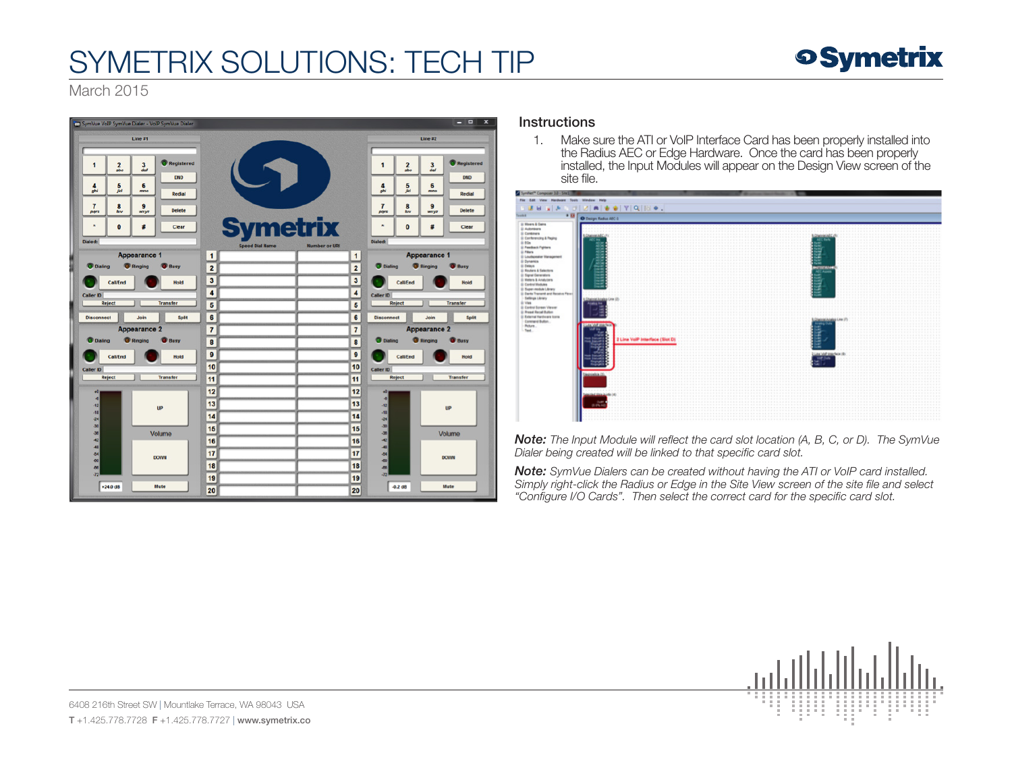# SYMETRIX SOLUTIONS: TECH TIP

### **o Symetrix**

March 2015



#### **Instructions**

1. Make sure the ATI or VoIP Interface Card has been properly installed into the Radius AEC or Edge Hardware. Once the card has been properly installed, the Input Modules will appear on the Design View screen of the site f

| Symber" Compagn 10 - Stell<br>File Edit View Hardware Tools Window Help                                                                                                                                                                                                                                                                                                                                                                                                                                                                                       |                                                           |                               |  |                                                                                                       |  |
|---------------------------------------------------------------------------------------------------------------------------------------------------------------------------------------------------------------------------------------------------------------------------------------------------------------------------------------------------------------------------------------------------------------------------------------------------------------------------------------------------------------------------------------------------------------|-----------------------------------------------------------|-------------------------------|--|-------------------------------------------------------------------------------------------------------|--|
|                                                                                                                                                                                                                                                                                                                                                                                                                                                                                                                                                               |                                                           |                               |  |                                                                                                       |  |
| <b>BBB A A DIZIA &amp; A Y Q R &amp; .</b>                                                                                                                                                                                                                                                                                                                                                                                                                                                                                                                    |                                                           |                               |  |                                                                                                       |  |
| 9.53<br><b>Sales</b>                                                                                                                                                                                                                                                                                                                                                                                                                                                                                                                                          | C Design Radius AEC &                                     |                               |  |                                                                                                       |  |
| Up Monera & Gaine<br>Si Automaans<br>@ Continers<br>& Conferencing & Paging<br>0.006<br>& Paudosck Piptors<br><b>G Filters</b><br>S) Loudspeaker Management<br>& Dynamics<br>@ Delays<br><b>J</b> Routers & Selectors<br><b>G Squal Generators</b><br>S Melers & Analyzers<br><b>G Central Modules</b><br>& Super-module Library<br>@ Darks Transmit and Receive Flows<br><b>Bellings Library</b><br>(b) View<br>& Cantral Screen Viewer<br><b>U</b> Preset Recall Bullion<br><b>El External Kentimere Icoria</b><br>Contrard Bulton<br>Rours.<br><b>Text</b> | disk fra<br><b>Adaptato In</b><br>Outer<br><b>IS DALA</b> | 2 Line VolP Interface (Slot D |  | <b>ANZTECHNOL</b><br><b>CAust</b><br><b>TELETA</b><br>LOMORIAANA<br>ining<br>J<br>8<br><b>SERVICE</b> |  |

*Note: The Input Module will reflect the card slot location (A, B, C, or D). The SymVue Dialer being created will be linked to that specific card slot.*

*Note: SymVue Dialers can be created without having the ATI or VoIP card installed. Simply right-click the Radius or Edge in the Site View screen of the site file and select "Configure I/O Cards". Then select the correct card for the specific card slot.* 

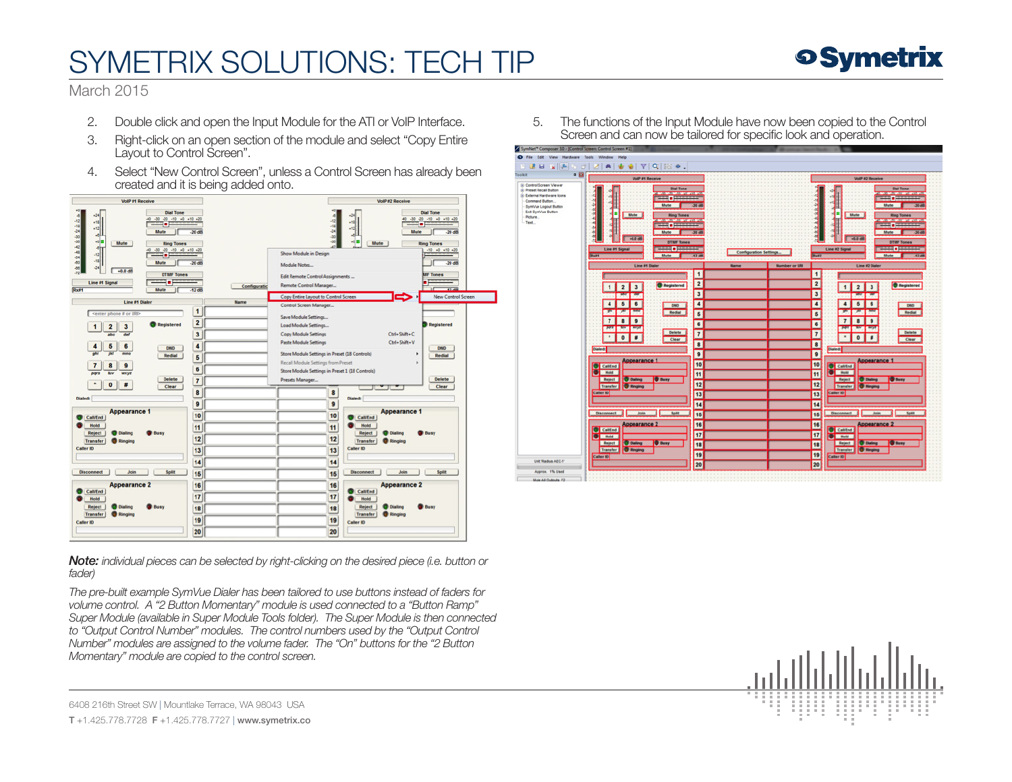# SYMETRIX SOLUTIONS: TECH TIP

#### **o Symetrix**

March 2015

- 2. Double click and open the Input Module for the ATI or VoIP Interface.
- 3. Right-click on an open section of the module and select "Copy Entire Layout to Control Screen".
- 4. Select "New Control Screen", unless a Control Screen has already been created and it is being added onto.



*Note: individual pieces can be selected by right-clicking on the desired piece (i.e. button or fader)*

*The pre-built example SymVue Dialer has been tailored to use buttons instead of faders for volume control. A "2 Button Momentary" module is used connected to a "Button Ramp" Super Module (available in Super Module Tools folder). The Super Module is then connected to "Output Control Number" modules. The control numbers used by the "Output Control Number" modules are assigned to the volume fader. The "On" buttons for the "2 Button Momentary" module are copied to the control screen.* 

5. The functions of the Input Module have now been copied to the Control Screen and can now be tailored for specific look and operation.





6408 216th Street SW | Mountlake Terrace, WA 98043 USA T +1.425.778.7728 F +1.425.778.7727 | www.symetrix.co